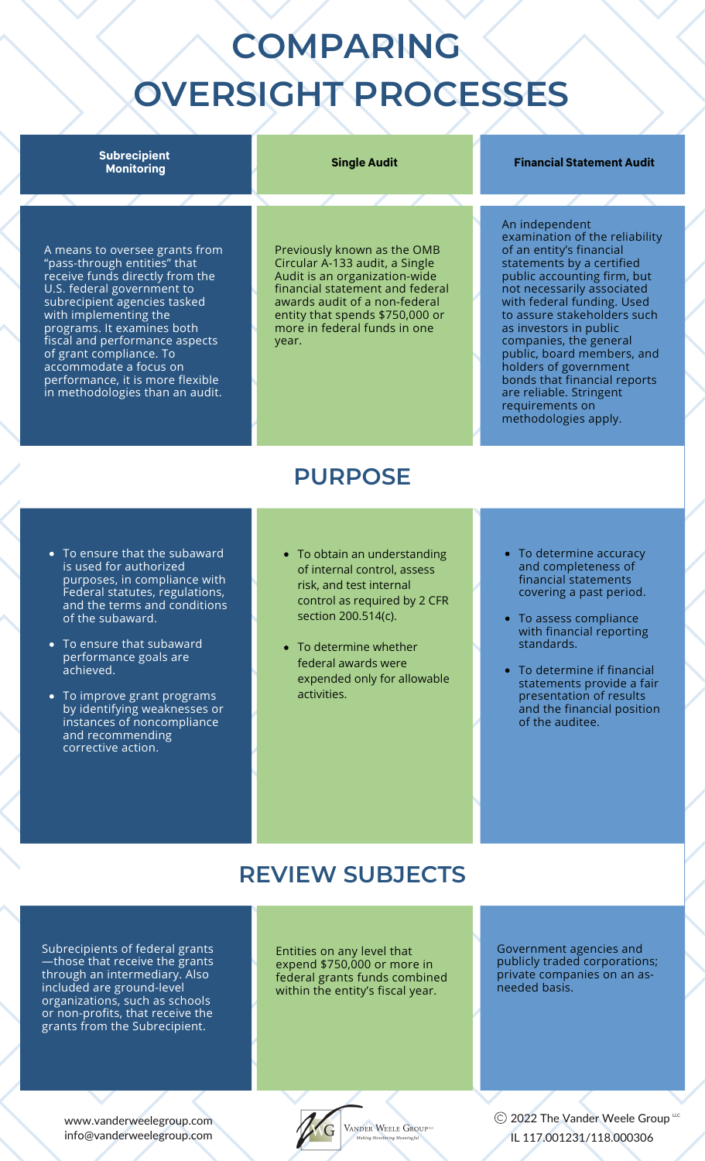# **COMPARING OVERSIGHT PROCESSES**

### **Subrecipient Monitoring**

### **Single Audit Financial Statement Audit**

examination of the reliability

An independent

A means to oversee grants from "pass-through entities" that receive funds directly from the U.S. federal government to subrecipient agencies tasked with implementing the programs. It examines both fiscal and performance aspects of grant compliance. To accommodate a focus on performance, it is more flexible in methodologies than an audit.

Previously known as the OMB Circular A-133 audit, a Single Audit is an organization-wide financial statement and federal awards audit of a non-federal entity that spends \$750,000 or more in federal funds in one year.

#### of an entity's financial statements by a certified public accounting firm, but not necessarily associated with federal funding. Used to assure stakeholders such as investors in public companies, the general public, board members, and holders of government bonds that financial reports are reliable. Stringent requirements on methodologies apply.

- To ensure that the subaward is used for authorized purposes, in compliance with Federal statutes, regulations, and the terms and conditions of the subaward.
- To ensure that subaward performance goals are achieved.
- To improve grant programs by identifying weaknesses or instances of noncompliance and recommending corrective action.
- To obtain an understanding of internal control, assess risk, and test internal control as required by 2 CFR section 200.514(c).

**PURPOSE**

- To determine whether federal awards were expended only for allowable activities.
- To determine accuracy and completeness of financial statements covering a past period.
- To assess compliance with financial reporting standards.
- To determine if financial statements provide a fair presentation of results and the financial position of the auditee.

## **REVIEW SUBJECTS**

Subrecipients of federal grants —those that receive the grants through an intermediary. Also included are ground-level organizations, such as schools or non-profits, that receive the grants from the Subrecipient.

Entities on any level that expend \$750,000 or more in federal grants funds combined within the entity's fiscal year.

Government agencies and publicly traded corporations; private companies on an as-.<br>needed basis.

www.vanderweelegroup.com info@vanderweelegroup.com



2022 The Vander Weele Group  $^{\mu c}$ IL 117.001231/118.000306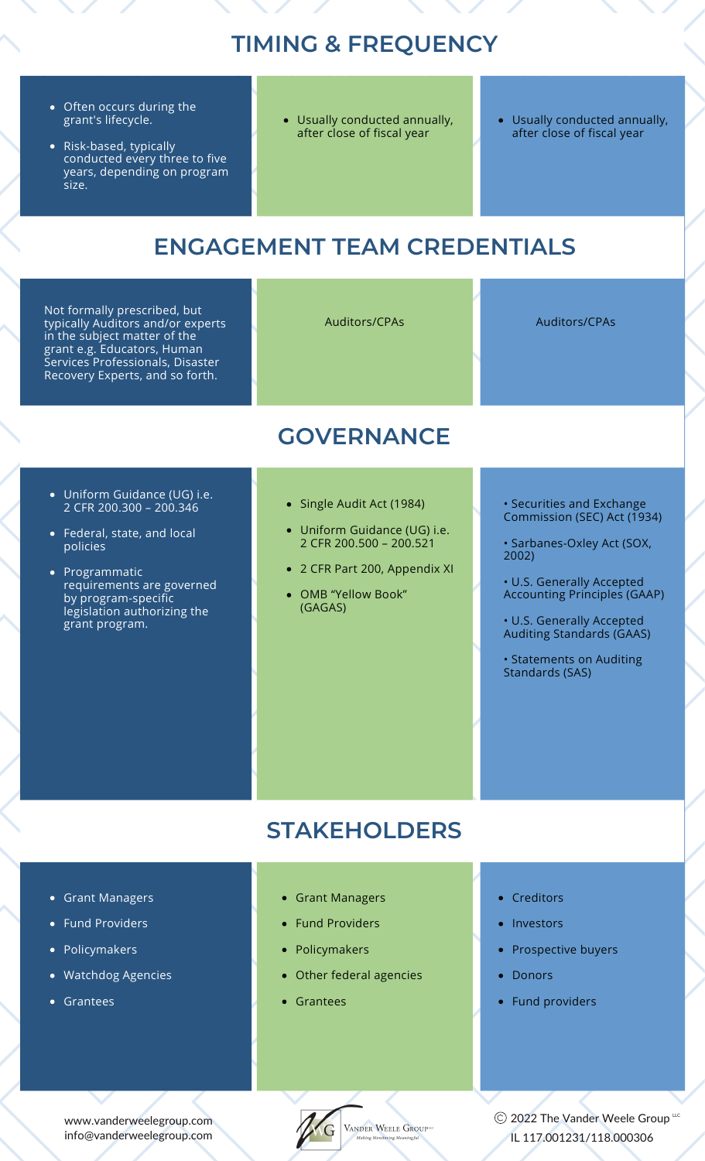## **TIMING & FREQUENCY**

- Often occurs during the grant's lifecycle.
- Risk-based, typically conducted every three to five years, depending on program size.
- Usually conducted annually, after close of fiscal year
- Usually conducted annually, after close of fiscal year

## **ENGAGEMENT TEAM CREDENTIALS**

Not formally prescribed, but typically Auditors and/or experts in the subject matter of the grant e.g. Educators, Human Services Professionals, Disaster Recovery Experts, and so forth.

Auditors/CPAs Auditors/CPAs

## **GOVERNANCE**

- Uniform Guidance (UG) i.e. 2 CFR [200.300](https://www.ecfr.gov/current/title-2/subtitle-A/chapter-II/part-200/subpart-D?toc=1) – 200.346
- Federal, state, and local policies
- Programmatic requirements are governed by program-specific legislation authorizing the grant program.
- Single Audit Act (1984)
- Uniform Guidance (UG) i.e. 2 CFR [200.500](https://www.ecfr.gov/current/title-2/subtitle-A/chapter-II/part-200/subpart-D?toc=1) – 200.521
- 2 CFR Part 200, Appendix XI
- OMB "Yellow Book" (GAGAS)

### • Securities and Exchange Commission (SEC) Act (1934)

• Sarbanes-Oxley Act (SOX, 2002)

• U.S. Generally Accepted Accounting Principles (GAAP)

• U.S. Generally Accepted Auditing Standards (GAAS)

• Statements on Auditing Standards (SAS)

## **STAKEHOLDERS**

- Grant Managers
- Fund Providers
- Policymakers
- Watchdog Agencies
- Grantees
- Grant Managers
- Fund Providers
- Policymakers
- Other federal agencies
- Grantees
- Creditors
- Investors
- Prospective buyers
- Donors
- Fund providers

www.vanderweelegroup.com info@vanderweelegroup.com



VANDER WEELE GROUP<sup>uc</sup>

2022 The Vander Weele Group  $^{\mu c}$ IL 117.001231/118.000306